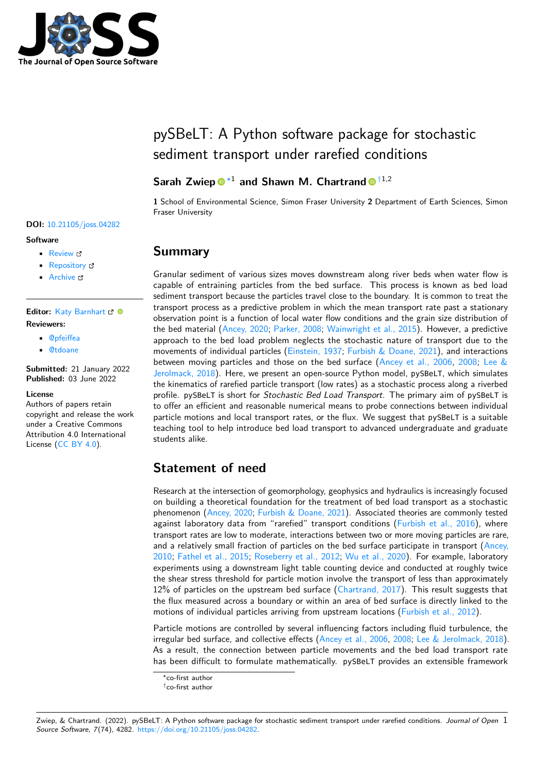

# pySBeLT: A Python software package for stochastic sediment transport under rarefied conditions

### **Sarah Zwiep**<sup>® [∗1](#page-4-0)</sup> and Shawn M. Chartrand<sup></sup><sup>[†1](#page-4-0),2</sup>

**1** School of Environmental Science, Simon Fraser University **2** Department of Earth Sciences, Simon Fraser University

### **Summary**

Granular sediment of various sizes moves downstream along river beds when water flow is capable of entraining particles from the bed surface. This process is known as bed load sediment transport because the particles travel close to the boundary. It is common to treat the transport process as a predictive problem in which the mean transport rate past a stationary observation point is a function of local water flow conditions and the grain size distribution of the bed material [\(Ancey, 2020;](#page-3-0) [Parker, 2008;](#page-3-1) [Wainwright et al., 2015\)](#page-4-1). However, a predictive approach to the bed load problem neglects the stochastic nature of transport due to the movements of individual particles [\(Einstein, 1937;](#page-3-2) [Furbish & Doane, 2021\)](#page-3-3), and interactions between moving particles and those on the bed surface [\(Ancey et al., 2006,](#page-3-4) [2008;](#page-3-5) [Lee &](#page-3-6) [Jerolmack, 2018\)](#page-3-6). Here, we present an open-source Python model, pySBeLT, which simulates the kinematics of rarefied particle transport (low rates) as a stochastic process along a riverbed profile. pySBeLT is short for Stochastic Bed Load Transport. The primary aim of pySBeLT is to offer an efficient and reasonable numerical means to probe connections between individual particle motions and local transport rates, or the flux. We suggest that pySBeLT is a suitable teaching tool to help introduce bed load transport to advanced undergraduate and graduate students alike.

# **Statement of need**

Research at the intersection of geomorphology, geophysics and hydraulics is increasingly focused on building a theoretical foundation for the treatment of bed load transport as a stochastic phenomenon [\(Ancey, 2020;](#page-3-0) [Furbish & Doane, 2021\)](#page-3-3). Associated theories are commonly tested against laboratory data from "rarefied" transport conditions [\(Furbish et al., 2016\)](#page-3-7), where transport rates are low to moderate, interactions between two or more moving particles are rare, and a relatively small fraction of particles on the bed surface participate in transport [\(Ancey,](#page-3-8) [2010;](#page-3-8) [Fathel et al., 2015;](#page-3-9) [Roseberry et al., 2012;](#page-4-2) [Wu et al., 2020\)](#page-4-3). For example, laboratory experiments using a downstream light table counting device and conducted at roughly twice the shear stress threshold for particle motion involve the transport of less than approximately 12% of particles on the upstream bed surface [\(Chartrand, 2017\)](#page-3-10). This result suggests that the flux measured across a boundary or within an area of bed surface is directly linked to the motions of individual particles arriving from upstream locations [\(Furbish et al., 2012\)](#page-3-11).

Particle motions are controlled by several influencing factors including fluid turbulence, the irregular bed surface, and collective effects [\(Ancey et al., 2006,](#page-3-4) [2008;](#page-3-5) [Lee & Jerolmack, 2018\)](#page-3-6). As a result, the connection between particle movements and the bed load transport rate has been difficult to formulate mathematically. pySBeLT provides an extensible framework

#### **DOI:** [10.21105/joss.04282](https://doi.org/10.21105/joss.04282)

#### **Software**

- [Review](https://github.com/openjournals/joss-reviews/issues/4282) L'
- [Repository](https://github.com/szwiep/py_SBeLT) &
- [Archive](https://doi.org/10.6084/m9.figshare.19967552.v3)

#### Editor: [Katy Barnhart](https://www.usgs.gov/staff-profiles/katherine-barnhart) & <sup>®</sup> **Reviewers:**

- [@pfeiffea](https://github.com/pfeiffea)
- [@tdoane](https://github.com/tdoane)

**Submitted:** 21 January 2022 **Published:** 03 June 2022

#### **License**

Authors of papers retain copyright and release the work under a Creative Commons Attribution 4.0 International License [\(CC BY 4.0\)](https://creativecommons.org/licenses/by/4.0/).

<sup>∗</sup>co-first author

<sup>†</sup>co-first author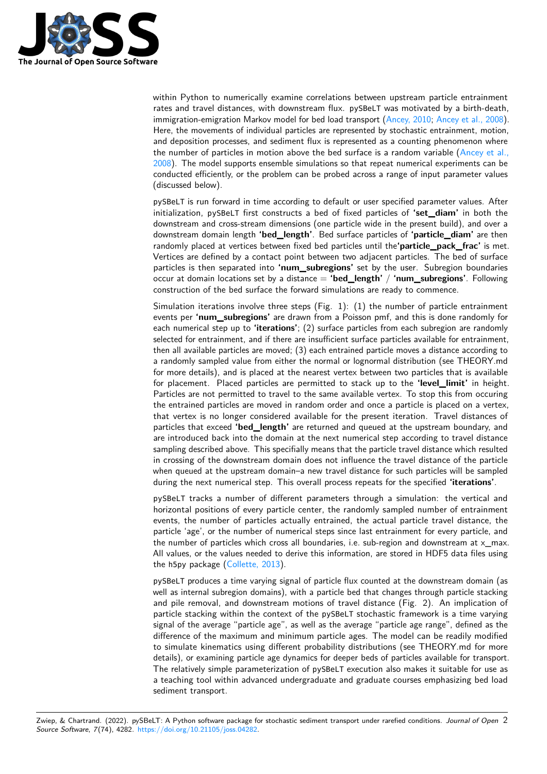

within Python to numerically examine correlations between upstream particle entrainment rates and travel distances, with downstream flux. pySBeLT was motivated by a birth-death, immigration-emigration Markov model for bed load transport [\(Ancey, 2010;](#page-3-8) [Ancey et al., 2008\)](#page-3-5). Here, the movements of individual particles are represented by stochastic entrainment, motion, and deposition processes, and sediment flux is represented as a counting phenomenon where the number of particles in motion above the bed surface is a random variable  $(Anccv et al.,$ [2008\)](#page-3-5). The model supports ensemble simulations so that repeat numerical experiments can be conducted efficiently, or the problem can be probed across a range of input parameter values (discussed below).

pySBeLT is run forward in time according to default or user specified parameter values. After initialization, pySBeLT first constructs a bed of fixed particles of **'set\_diam'** in both the downstream and cross-stream dimensions (one particle wide in the present build), and over a downstream domain length **'bed\_length'**. Bed surface particles of **'particle\_diam'** are then randomly placed at vertices between fixed bed particles until the**'particle\_pack\_frac'** is met. Vertices are defined by a contact point between two adjacent particles. The bed of surface particles is then separated into **'num\_subregions'** set by the user. Subregion boundaries occur at domain locations set by a distance = **'bed\_length'** / **'num\_subregions'**. Following construction of the bed surface the forward simulations are ready to commence.

Simulation iterations involve three steps (Fig. 1): (1) the number of particle entrainment events per **'num\_subregions'** are drawn from a Poisson pmf, and this is done randomly for each numerical step up to **'iterations'**; (2) surface particles from each subregion are randomly selected for entrainment, and if there are insufficient surface particles available for entrainment, then all available particles are moved; (3) each entrained particle moves a distance according to a randomly sampled value from either the normal or lognormal distribution (see THEORY.md for more details), and is placed at the nearest vertex between two particles that is available for placement. Placed particles are permitted to stack up to the **'level\_limit'** in height. Particles are not permitted to travel to the same available vertex. To stop this from occuring the entrained particles are moved in random order and once a particle is placed on a vertex, that vertex is no longer considered available for the present iteration. Travel distances of particles that exceed **'bed\_length'** are returned and queued at the upstream boundary, and are introduced back into the domain at the next numerical step according to travel distance sampling described above. This specifially means that the particle travel distance which resulted in crossing of the downstream domain does not influence the travel distance of the particle when queued at the upstream domain–a new travel distance for such particles will be sampled during the next numerical step. This overall process repeats for the specified **'iterations'**.

pySBeLT tracks a number of different parameters through a simulation: the vertical and horizontal positions of every particle center, the randomly sampled number of entrainment events, the number of particles actually entrained, the actual particle travel distance, the particle 'age', or the number of numerical steps since last entrainment for every particle, and the number of particles which cross all boundaries, i.e. sub-region and downstream at  $\times$  max. All values, or the values needed to derive this information, are stored in HDF5 data files using the h5py package [\(Collette, 2013\)](#page-3-12).

pySBeLT produces a time varying signal of particle flux counted at the downstream domain (as well as internal subregion domains), with a particle bed that changes through particle stacking and pile removal, and downstream motions of travel distance (Fig. 2). An implication of particle stacking within the context of the pySBeLT stochastic framework is a time varying signal of the average "particle age", as well as the average "particle age range", defined as the difference of the maximum and minimum particle ages. The model can be readily modified to simulate kinematics using different probability distributions (see THEORY.md for more details), or examining particle age dynamics for deeper beds of particles available for transport. The relatively simple parameterization of pySBeLT execution also makes it suitable for use as a teaching tool within advanced undergraduate and graduate courses emphasizing bed load sediment transport.

Zwiep, & Chartrand. (2022). pySBeLT: A Python software package for stochastic sediment transport under rarefied conditions. Journal of Open 2 Source Software, 7(74), 4282. [https://doi.org/10.21105/joss.04282.](https://doi.org/10.21105/joss.04282)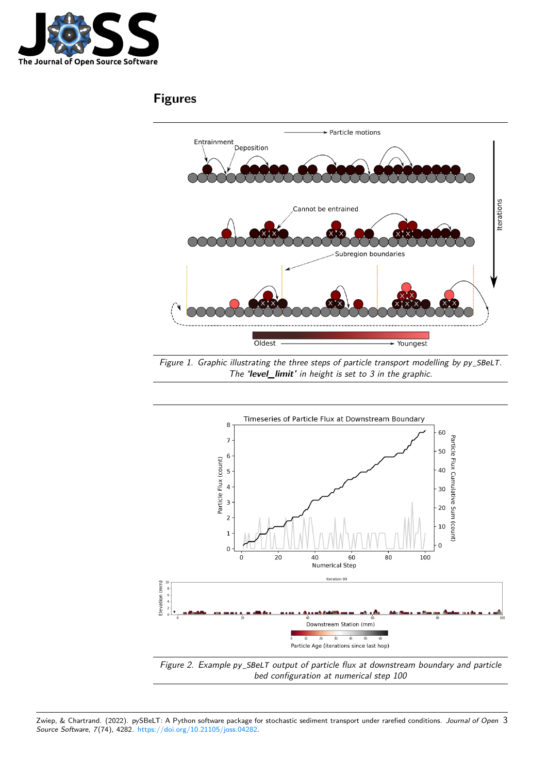

## **Figures**



Figure 1. Graphic illustrating the three steps of particle transport modelling by *py\_SBeLT*. The **'level\_limit'** in height is set to 3 in the graphic.



bed configuration at numerical step 100

Zwiep, & Chartrand. (2022). pySBeLT: A Python software package for stochastic sediment transport under rarefied conditions. Journal of Open 3 Source Software, 7(74), 4282. [https://doi.org/10.21105/joss.04282.](https://doi.org/10.21105/joss.04282)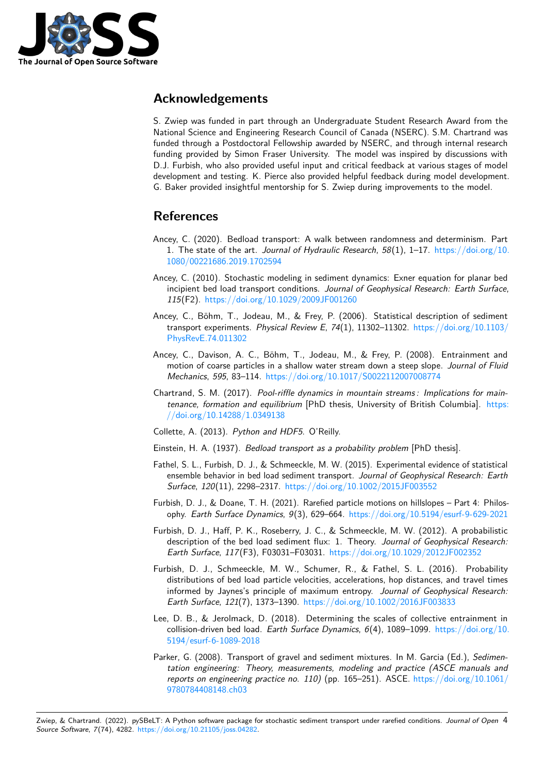

### **Acknowledgements**

S. Zwiep was funded in part through an Undergraduate Student Research Award from the National Science and Engineering Research Council of Canada (NSERC). S.M. Chartrand was funded through a Postdoctoral Fellowship awarded by NSERC, and through internal research funding provided by Simon Fraser University. The model was inspired by discussions with D.J. Furbish, who also provided useful input and critical feedback at various stages of model development and testing. K. Pierce also provided helpful feedback during model development. G. Baker provided insightful mentorship for S. Zwiep during improvements to the model.

## **References**

- <span id="page-3-0"></span>Ancey, C. (2020). Bedload transport: A walk between randomness and determinism. Part 1. The state of the art. Journal of Hydraulic Research,  $58(1)$ ,  $1-17$ . [https://doi.org/10.](https://doi.org/10.1080/00221686.2019.1702594) [1080/00221686.2019.1702594](https://doi.org/10.1080/00221686.2019.1702594)
- <span id="page-3-8"></span>Ancey, C. (2010). Stochastic modeling in sediment dynamics: Exner equation for planar bed incipient bed load transport conditions. Journal of Geophysical Research: Earth Surface, 115(F2). <https://doi.org/10.1029/2009JF001260>
- <span id="page-3-4"></span>Ancey, C., Böhm, T., Jodeau, M., & Frey, P. (2006). Statistical description of sediment transport experiments. Physical Review E, 74(1), 11302–11302. [https://doi.org/10.1103/](https://doi.org/10.1103/PhysRevE.74.011302) [PhysRevE.74.011302](https://doi.org/10.1103/PhysRevE.74.011302)
- <span id="page-3-5"></span>Ancey, C., Davison, A. C., Böhm, T., Jodeau, M., & Frey, P. (2008). Entrainment and motion of coarse particles in a shallow water stream down a steep slope. Journal of Fluid Mechanics, 595, 83–114. <https://doi.org/10.1017/S0022112007008774>
- <span id="page-3-10"></span>Chartrand, S. M. (2017). Pool-riffle dynamics in mountain streams : Implications for maintenance, formation and equilibrium [PhD thesis, University of British Columbia]. [https:](https://doi.org/10.14288/1.0349138) [//doi.org/10.14288/1.0349138](https://doi.org/10.14288/1.0349138)
- <span id="page-3-12"></span>Collette, A. (2013). Python and HDF5. O'Reilly.
- <span id="page-3-2"></span>Einstein, H. A. (1937). Bedload transport as a probability problem [PhD thesis].
- <span id="page-3-9"></span>Fathel, S. L., Furbish, D. J., & Schmeeckle, M. W. (2015). Experimental evidence of statistical ensemble behavior in bed load sediment transport. Journal of Geophysical Research: Earth Surface, 120(11), 2298–2317. <https://doi.org/10.1002/2015JF003552>
- <span id="page-3-3"></span>Furbish, D. J., & Doane, T. H. (2021). Rarefied particle motions on hillslopes – Part 4: Philosophy. Earth Surface Dynamics, 9(3), 629–664. <https://doi.org/10.5194/esurf-9-629-2021>
- <span id="page-3-11"></span>Furbish, D. J., Haff, P. K., Roseberry, J. C., & Schmeeckle, M. W. (2012). A probabilistic description of the bed load sediment flux: 1. Theory. Journal of Geophysical Research: Earth Surface, 117(F3), F03031–F03031. <https://doi.org/10.1029/2012JF002352>
- <span id="page-3-7"></span>Furbish, D. J., Schmeeckle, M. W., Schumer, R., & Fathel, S. L. (2016). Probability distributions of bed load particle velocities, accelerations, hop distances, and travel times informed by Jaynes's principle of maximum entropy. Journal of Geophysical Research: Earth Surface, 121(7), 1373–1390. <https://doi.org/10.1002/2016JF003833>
- <span id="page-3-6"></span>Lee, D. B., & Jerolmack, D. (2018). Determining the scales of collective entrainment in collision-driven bed load. Earth Surface Dynamics,  $6(4)$ , 1089-1099. [https://doi.org/10.](https://doi.org/10.5194/esurf-6-1089-2018) [5194/esurf-6-1089-2018](https://doi.org/10.5194/esurf-6-1089-2018)
- <span id="page-3-1"></span>Parker, G. (2008). Transport of gravel and sediment mixtures. In M. Garcia (Ed.), Sedimentation engineering: Theory, measurements, modeling and practice (ASCE manuals and reports on engineering practice no. 110) (pp. 165–251). ASCE. [https://doi.org/10.1061/](https://doi.org/10.1061/9780784408148.ch03) [9780784408148.ch03](https://doi.org/10.1061/9780784408148.ch03)